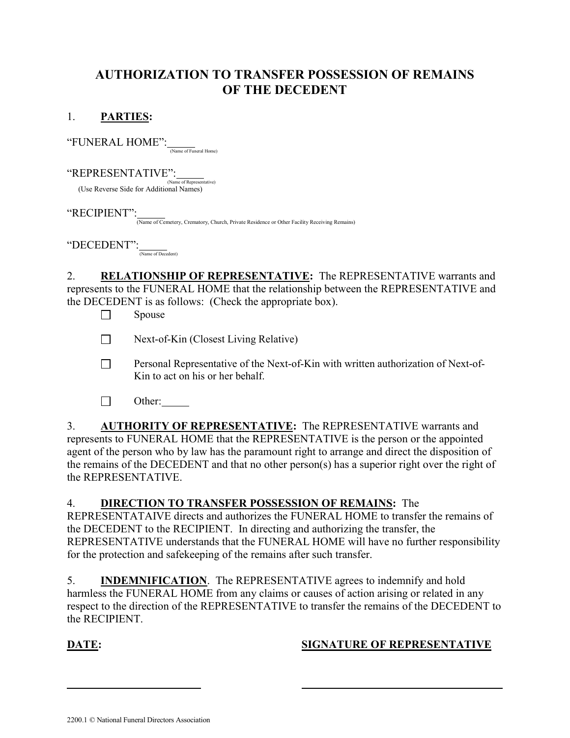# AUTHORIZATION TO TRANSFER POSSESSION OF REMAINS OF THE DECEDENT

#### 1. PARTIES:

 $\lq \lq \text{FWERAL} \text{ HOME'':}$  (Name of Funeral Home)

"REPRESENTATIVE": (Name of Representative) (Use Reverse Side for Additional Names)

"RECIPIENT":

(Name of Cemetery, Crematory, Church, Private Residence or Other Facility Receiving Remains)

 $\mathrm{``DECEDENT''':}$  (Name of Decedent)

2. RELATIONSHIP OF REPRESENTATIVE: The REPRESENTATIVE warrants and represents to the FUNERAL HOME that the relationship between the REPRESENTATIVE and the DECEDENT is as follows: (Check the appropriate box).

 $\Box$  Spouse

 $\Box$  Next-of-Kin (Closest Living Relative)

- **Personal Representative of the Next-of-Kin with written authorization of Next-of-**Kin to act on his or her behalf.
- $\Box$  Other:

3. AUTHORITY OF REPRESENTATIVE: The REPRESENTATIVE warrants and represents to FUNERAL HOME that the REPRESENTATIVE is the person or the appointed agent of the person who by law has the paramount right to arrange and direct the disposition of the remains of the DECEDENT and that no other person(s) has a superior right over the right of the REPRESENTATIVE.

#### 4. DIRECTION TO TRANSFER POSSESSION OF REMAINS: The

REPRESENTATAIVE directs and authorizes the FUNERAL HOME to transfer the remains of the DECEDENT to the RECIPIENT. In directing and authorizing the transfer, the REPRESENTATIVE understands that the FUNERAL HOME will have no further responsibility for the protection and safekeeping of the remains after such transfer.

5. INDEMNIFICATION. The REPRESENTATIVE agrees to indemnify and hold harmless the FUNERAL HOME from any claims or causes of action arising or related in any respect to the direction of the REPRESENTATIVE to transfer the remains of the DECEDENT to the RECIPIENT.

l

## DATE: SIGNATURE OF REPRESENTATIVE